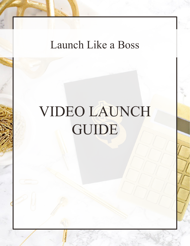# Launch Like a Boss

# VIDEO LAUNCH GUIDE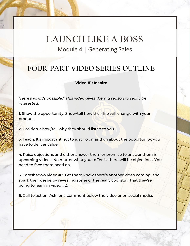### FOUR-PART VIDEO SERIES OUTLINE

#### **Video #1: Inspire**

*"Here's what's possible." This video gives them a reason to really be interested.*

1. Show the opportunity. Show/tell how their life will change with your product.

2. Position. Show/tell why they should listen to you.

3. Teach. It's important not to just go on and on about the opportunity; you have to deliver value.

4. Raise objections and either answer them or promise to answer them in upcoming videos. No matter what your offer is, there will be objections. You need to face them head on.

5. Foreshadow video #2. Let them know there's another video coming, and spark their desire by revealing some of the really cool stuff that they're going to learn in video #2.

6. Call to action. Ask for a comment below the video or on social media.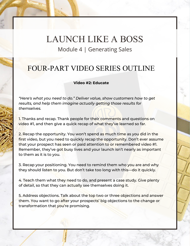#### FOUR-PART VIDEO SERIES OUTLINE

#### **Video #2: Educate**

*"Here's what you need to do." Deliver value, show customers how to get results, and help them imagine actually getting those results for themselves.*

1. Thanks and recap. Thank people for their comments and questions on video #1, and then give a quick recap of what they've learned so far.

2. Recap the opportunity. You won't spend as much time as you did in the first video, but you need to quickly recap the opportunity. Don't ever assume that your prospect has seen or paid attention to or remembered video #1. Remember, they've got busy lives and your launch isn't nearly as important to them as it is to you.

3. Recap your positioning. You need to remind them who you are and why they should listen to you. But don't take too long with this—do it quickly.

4. Teach them what they need to do, and present a case study. Give plenty of detail, so that they can actually see themselves doing it.

5. Address objections. Talk about the top two or three objections and answer them. You want to go after your prospects' big objections to the change or transformation that you're promising.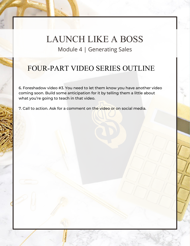## FOUR-PART VIDEO SERIES OUTLINE

6. Foreshadow video #3. You need to let them know you have another video coming soon. Build some anticipation for it by telling them a little about what you're going to teach in that video.

7. Call to action. Ask for a comment on the video or on social media.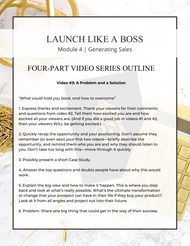#### FOUR-PART VIDEO SERIES OUTLINE

#### **Video #3: A Problem and a Solution**

*"What could hold you back, and how to overcome"*

1. Express thanks and excitement. Thank your viewers for their comments and questions from video #2. Tell them how excited you are and how excited all your viewers are. (And if you did a good job in videos #1 and #2, then your viewers WILL be getting excited.)

2. Quickly recap the opportunity and your positioning. Don't assume they remember (or even saw) your first two videos—briefly describe the opportunity, and remind them who you are and why they should listen to you. Don't take too long with this—move through it quickly.

3. Possibly present a short Case Study.

4. Answer the top questions and doubts people have about why this would work.

5. Explain the big view and how to make it happen. This is where you step back and look at what's really possible. What's the ultimate transformation or change that your prospect can have in their life if they buy your product? Look at it from all angles and project out into their future.

6. Problem. Share one big thing that could get in the way of their success.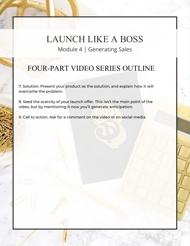## FOUR-PART VIDEO SERIES OUTLINE

7. Solution. Present your product as the solution, and explain how it will overcome the problem.

8. Seed the scarcity of your launch offer. This isn't the main point of the video, but by mentioning it now you'll generate anticipation.

9. Call to action. Ask for a comment on the video or on social media.